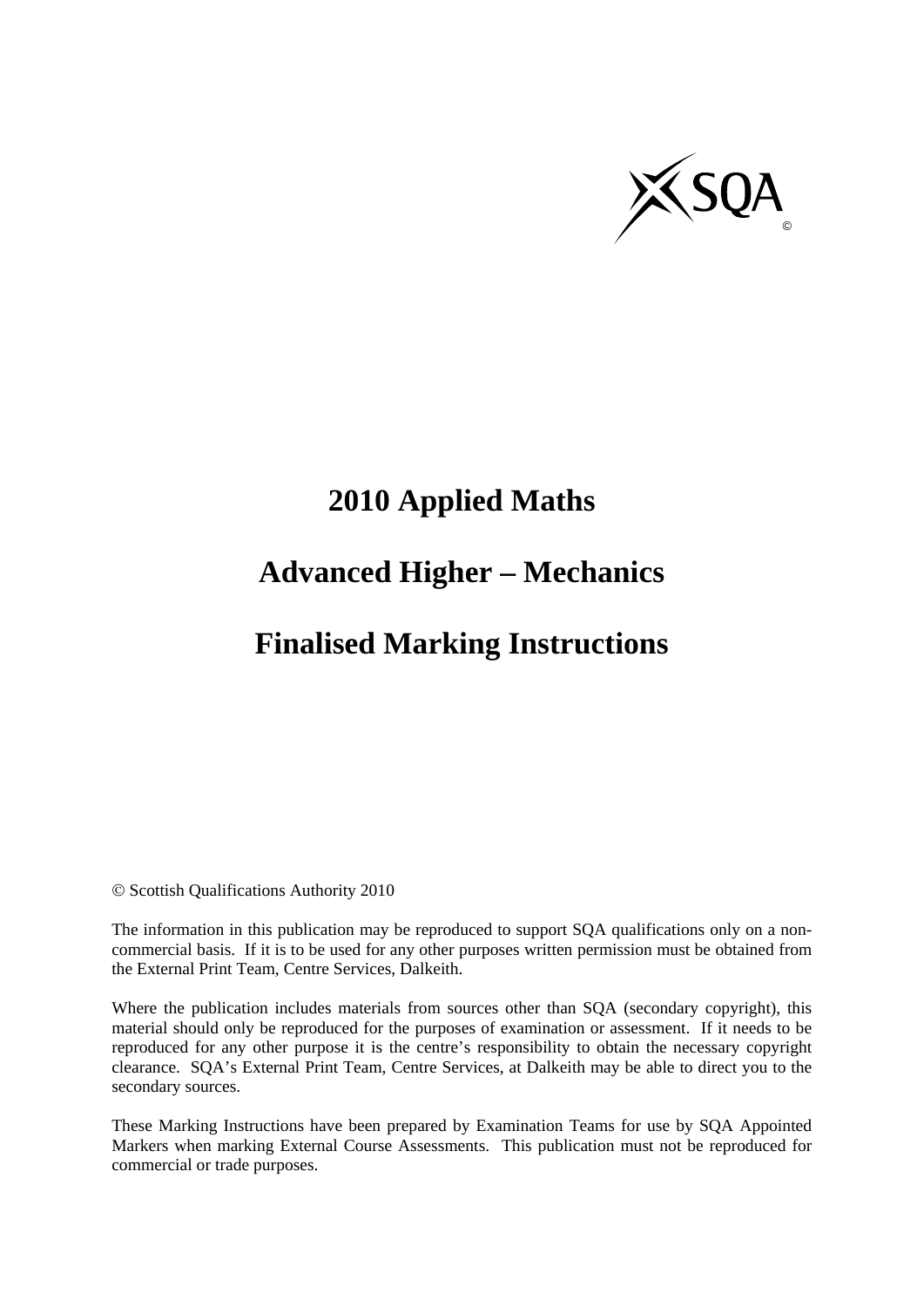

# **2010 Applied Maths**

# **Advanced Higher – Mechanics**

### **Finalised Marking Instructions**

© Scottish Qualifications Authority 2010

The information in this publication may be reproduced to support SQA qualifications only on a noncommercial basis. If it is to be used for any other purposes written permission must be obtained from the External Print Team, Centre Services, Dalkeith.

Where the publication includes materials from sources other than SQA (secondary copyright), this material should only be reproduced for the purposes of examination or assessment. If it needs to be reproduced for any other purpose it is the centre's responsibility to obtain the necessary copyright clearance. SQA's External Print Team, Centre Services, at Dalkeith may be able to direct you to the secondary sources.

These Marking Instructions have been prepared by Examination Teams for use by SQA Appointed Markers when marking External Course Assessments. This publication must not be reproduced for commercial or trade purposes.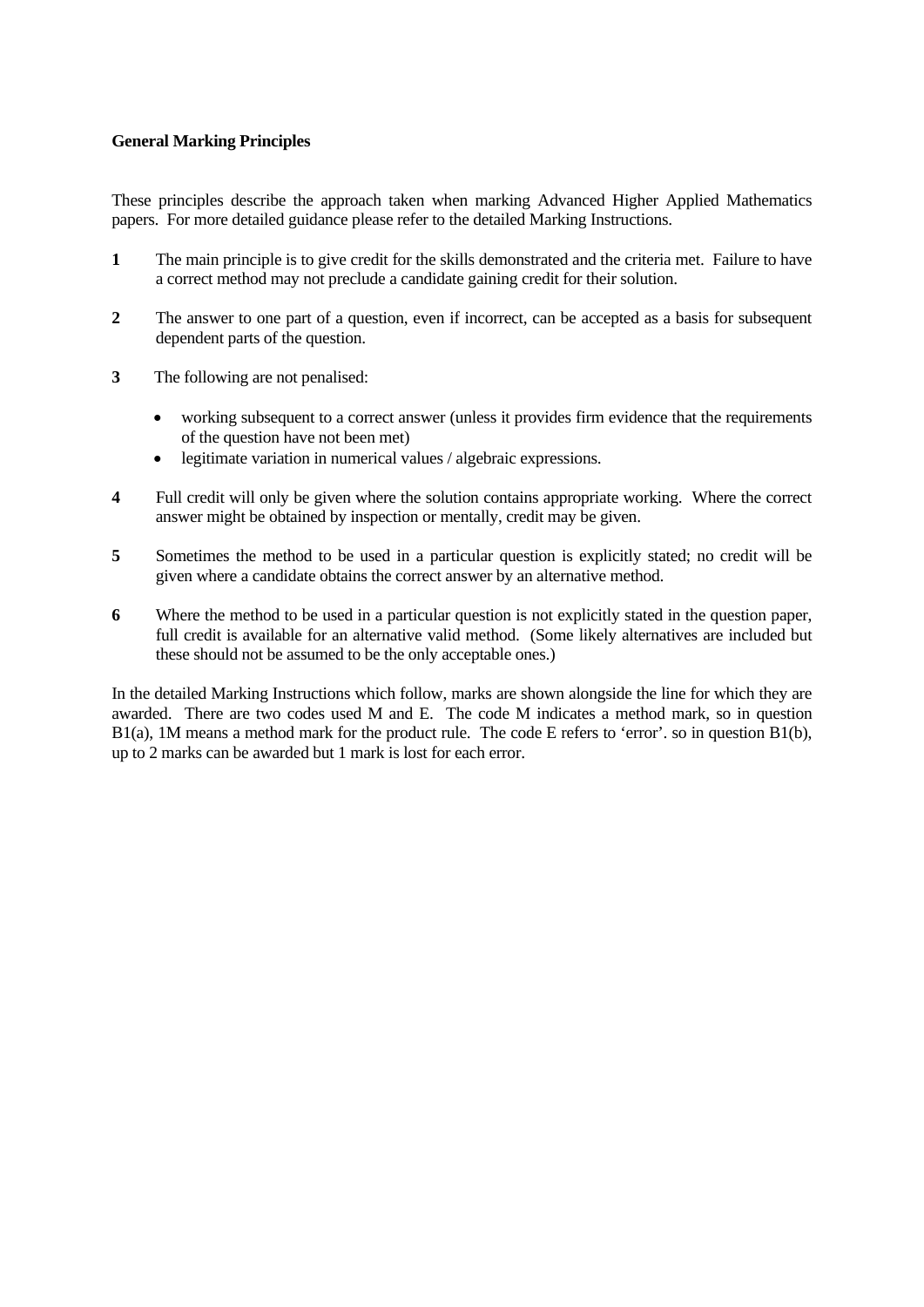#### **General Marking Principles**

These principles describe the approach taken when marking Advanced Higher Applied Mathematics papers. For more detailed guidance please refer to the detailed Marking Instructions.

- **1** The main principle is to give credit for the skills demonstrated and the criteria met. Failure to have a correct method may not preclude a candidate gaining credit for their solution.
- **2** The answer to one part of a question, even if incorrect, can be accepted as a basis for subsequent dependent parts of the question.
- **3** The following are not penalised:
	- working subsequent to a correct answer (unless it provides firm evidence that the requirements of the question have not been met)
	- legitimate variation in numerical values / algebraic expressions.
- **4** Full credit will only be given where the solution contains appropriate working. Where the correct answer might be obtained by inspection or mentally, credit may be given.
- **5** Sometimes the method to be used in a particular question is explicitly stated; no credit will be given where a candidate obtains the correct answer by an alternative method.
- **6** Where the method to be used in a particular question is not explicitly stated in the question paper, full credit is available for an alternative valid method. (Some likely alternatives are included but these should not be assumed to be the only acceptable ones.)

In the detailed Marking Instructions which follow, marks are shown alongside the line for which they are awarded. There are two codes used M and E. The code M indicates a method mark, so in question B1(a), 1M means a method mark for the product rule. The code E refers to 'error'. so in question B1(b), up to 2 marks can be awarded but 1 mark is lost for each error.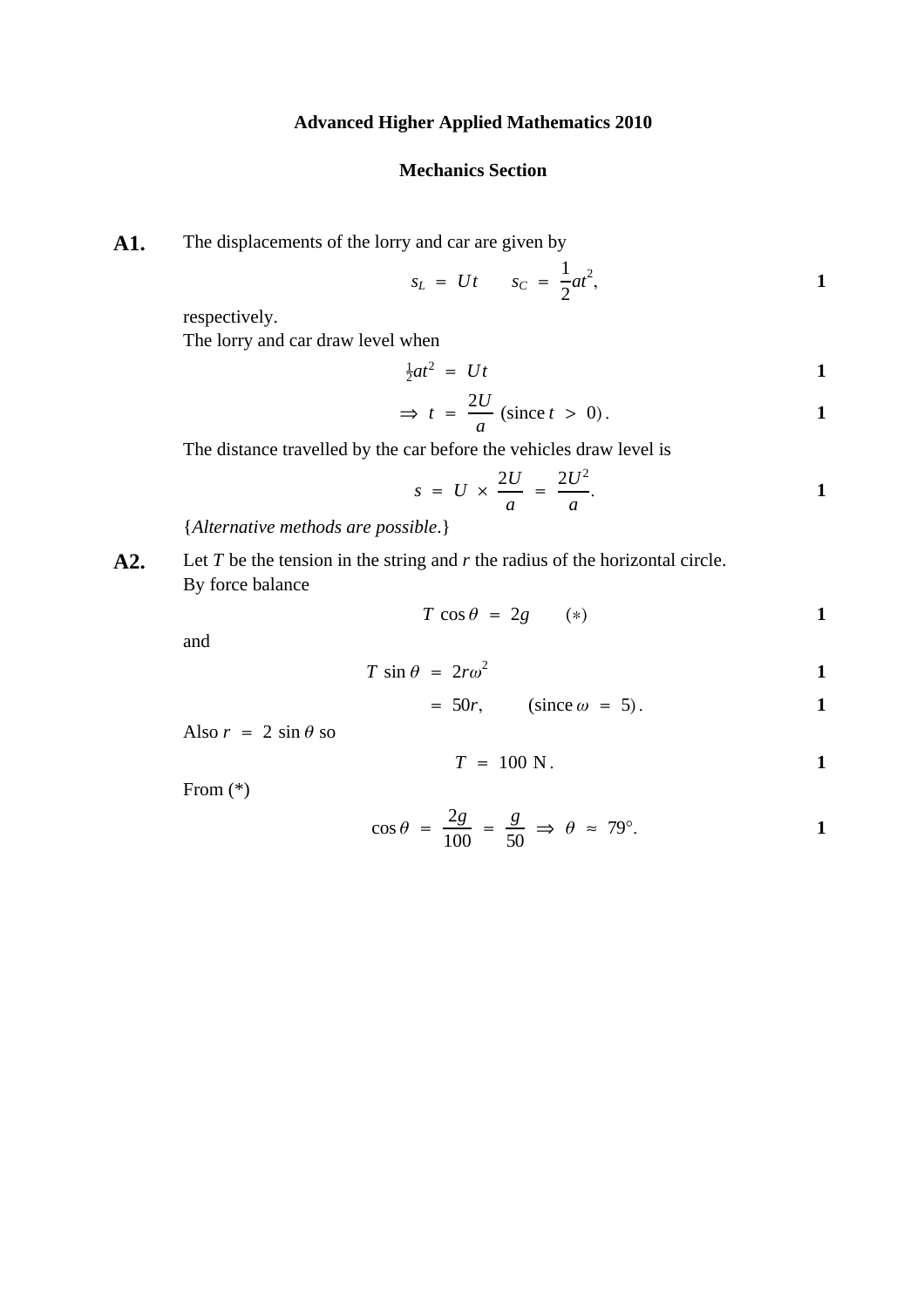### **Advanced Higher Applied Mathematics 2010**

#### **Mechanics Section**

**A1.** The displacements of the lorry and car are given by

$$
s_L = Ut \qquad s_C = \frac{1}{2}at^2, \qquad \qquad 1
$$

respectively.

The lorry and car draw level when

$$
\frac{1}{2}at^2 = Ut
$$

$$
\Rightarrow t = \frac{2U}{a} \text{ (since } t > 0).
$$

The distance travelled by the car before the vehicles draw level is

$$
s = U \times \frac{2U}{a} = \frac{2U^2}{a}.
$$

{*Alternative methods are possible*.}

**A2.** Let *T* be the tension in the string and *r* the radius of the horizontal circle. By force balance

$$
T\cos\theta = 2g \qquad (*) \qquad \qquad \mathbf{1}
$$

and

$$
T \sin \theta = 2r\omega^2 \tag{1}
$$

$$
= 50r, \qquad (\text{since } \omega = 5).
$$

Also  $r = 2 \sin \theta$  so

$$
T = 100 \text{ N}.
$$

From (\*)

$$
\cos \theta = \frac{2g}{100} = \frac{g}{50} \Rightarrow \theta \approx 79^{\circ}.
$$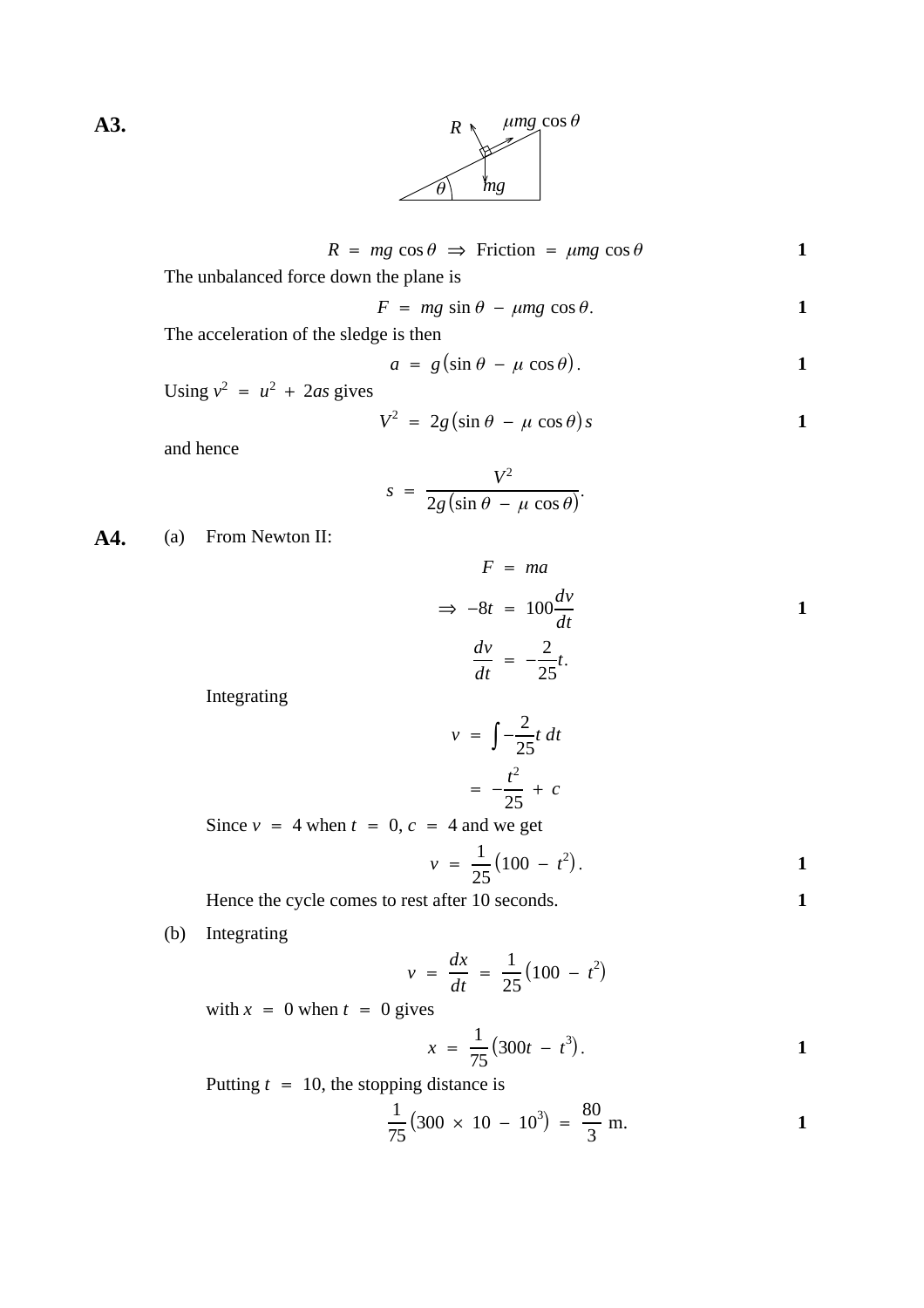

$$
R = mg \cos \theta \implies \text{Friction} = \mu mg \cos \theta \tag{1}
$$

The unbalanced force down the plane is

$$
F = mg \sin \theta - \mu mg \cos \theta.
$$

The acceleration of the sledge is then

$$
a = g(\sin \theta - \mu \cos \theta). \qquad \qquad 1
$$

Using  $v^2 = u^2 + 2as$  gives

$$
V^2 = 2g(\sin \theta - \mu \cos \theta)s
$$

and hence

$$
s = \frac{V^2}{2g(\sin\theta - \mu\cos\theta)}.
$$

**A4.** (a) From Newton II:

$$
F = ma
$$
  
\n
$$
\Rightarrow -8t = 100 \frac{dv}{dt}
$$
  
\n
$$
\frac{dv}{dt} = -\frac{2}{25}t.
$$

Integrating

$$
v = \int -\frac{2}{25}t \, dt
$$

$$
= -\frac{t^2}{25} + c
$$

Since  $v = 4$  when  $t = 0$ ,  $c = 4$  and we get

$$
v = \frac{1}{25} (100 - t^2).
$$

Hence the cycle comes to rest after 10 seconds. **1** 

(b) Integrating

$$
v = \frac{dx}{dt} = \frac{1}{25} (100 - t^2)
$$

with  $x = 0$  when  $t = 0$  gives

$$
x = \frac{1}{75} (300t - t^3).
$$

Putting  $t = 10$ , the stopping distance is

$$
\frac{1}{75} \left( 300 \times 10 - 10^3 \right) = \frac{80}{3} \text{ m.}
$$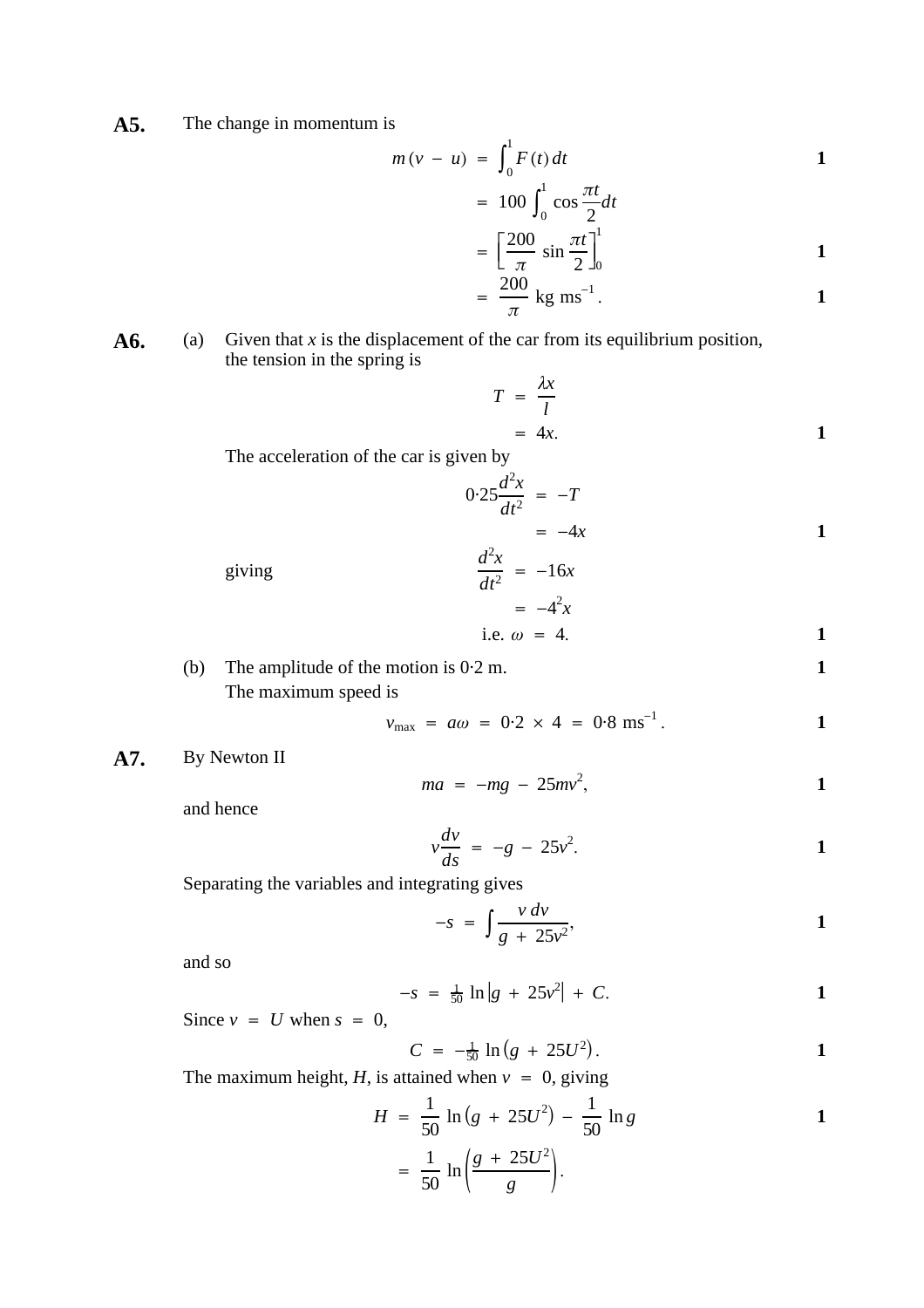**A5.** The change in momentum is

$$
m(v - u) = \int_0^1 F(t) dt
$$

$$
= 100 \int_0 \cos \frac{\pi t}{2} dt
$$

$$
= \left[\frac{200}{\pi} \sin \frac{\pi t}{2}\right]_0^1
$$

$$
= \frac{200}{\pi} \text{ kg ms}^{-1}.
$$

**A6.** (a) Given that x is the displacement of the car from its equilibrium position, the tension in the spring is

$$
T = \frac{\lambda x}{l}
$$
  
= 4x. 1

The acceleration of the car is given by

$$
0.25 \frac{d^2x}{dt^2} = -T
$$

$$
= -4x
$$

giving  $\frac{d^2x}{dt^2} = -16x$  $= -4^2x$ i.e.  $\omega = 4$ .

(b) The amplitude of the motion is 0·2 m. **1** The maximum speed is

$$
v_{\text{max}} = a\omega = 0.2 \times 4 = 0.8 \text{ ms}^{-1}.
$$

**A7.** By Newton II

$$
ma = -mg - 25mv^2, \qquad \qquad 1
$$

and hence

$$
v\frac{dv}{ds} = -g - 25v^2.
$$

Separating the variables and integrating gives

$$
-s = \int \frac{v dv}{g + 25v^2},
$$

and so

$$
-s = \frac{1}{50} \ln |g + 25v^2| + C.
$$

Since  $v = U$  when  $s = 0$ ,

$$
C = -\frac{1}{50} \ln (g + 25U^2).
$$

The maximum height, *H*, is attained when  $v = 0$ , giving

$$
H = \frac{1}{50} \ln (g + 25U^2) - \frac{1}{50} \ln g
$$
  
=  $\frac{1}{50} \ln \left( \frac{g + 25U^2}{g} \right)$ .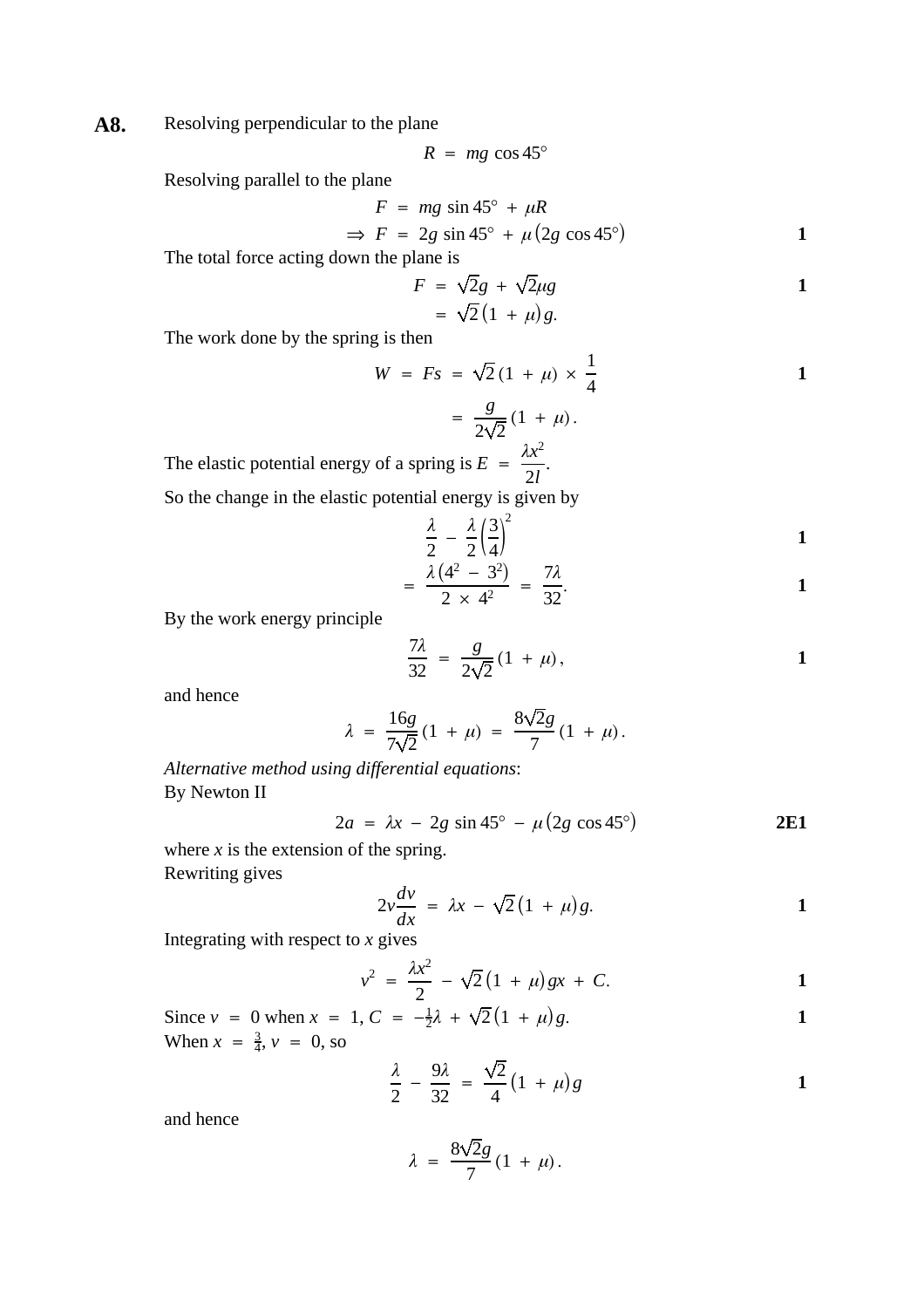A8. Resolving perpendicular to the plane

$$
R = mg \cos 45^{\circ}
$$

Resolving parallel to the plane

$$
F = mg \sin 45^\circ + \mu R
$$
  
\n
$$
\Rightarrow F = 2g \sin 45^\circ + \mu (2g \cos 45^\circ)
$$

The total force acting down the plane is

$$
F = \sqrt{2}g + \sqrt{2}\mu g
$$
  
=  $\sqrt{2}(1 + \mu)g$ .

The work done by the spring is then

$$
W = Fs = \sqrt{2} (1 + \mu) \times \frac{1}{4}
$$

$$
= \frac{g}{2\sqrt{2}} (1 + \mu).
$$
  
by of a spring is  $E = \frac{\lambda x^2}{2l}.$ 

The elastic potential energy of a spring 2 *l* So the change in the elastic potential energy is given by

$$
\frac{\lambda}{2} - \frac{\lambda}{2} \left(\frac{3}{4}\right)^2 \tag{1}
$$

$$
= \frac{\lambda (4^2 - 3^2)}{2 \times 4^2} = \frac{7\lambda}{32}.
$$

By the work energy principle

$$
\frac{7\lambda}{32} = \frac{g}{2\sqrt{2}}(1+\mu),
$$

and hence

$$
\lambda = \frac{16g}{7\sqrt{2}}(1 + \mu) = \frac{8\sqrt{2}g}{7}(1 + \mu).
$$

*Alternative method using differential equations* : By Newton II

$$
2a = \lambda x - 2g \sin 45^\circ - \mu (2g \cos 45^\circ)
$$
 **2E1**

where  $x$  is the extension of the spring. Rewriting gives

$$
2v\frac{dv}{dx} = \lambda x - \sqrt{2}(1+\mu)g.
$$

Integrating with respect to *x* gives

$$
v^2 = \frac{\lambda x^2}{2} - \sqrt{2}(1 + \mu)gx + C.
$$

Since  $v = 0$  when  $x = 1$ ,  $C = -\frac{1}{2}\lambda + \sqrt{2}(1 + \mu)g$ . **1** When  $x = \frac{3}{4}$ ,  $v = 0$ , so

$$
\frac{\lambda}{2} - \frac{9\lambda}{32} = \frac{\sqrt{2}}{4} \left( 1 + \mu \right) g
$$

and hence

$$
\lambda = \frac{8\sqrt{2}g}{7}(1+\mu).
$$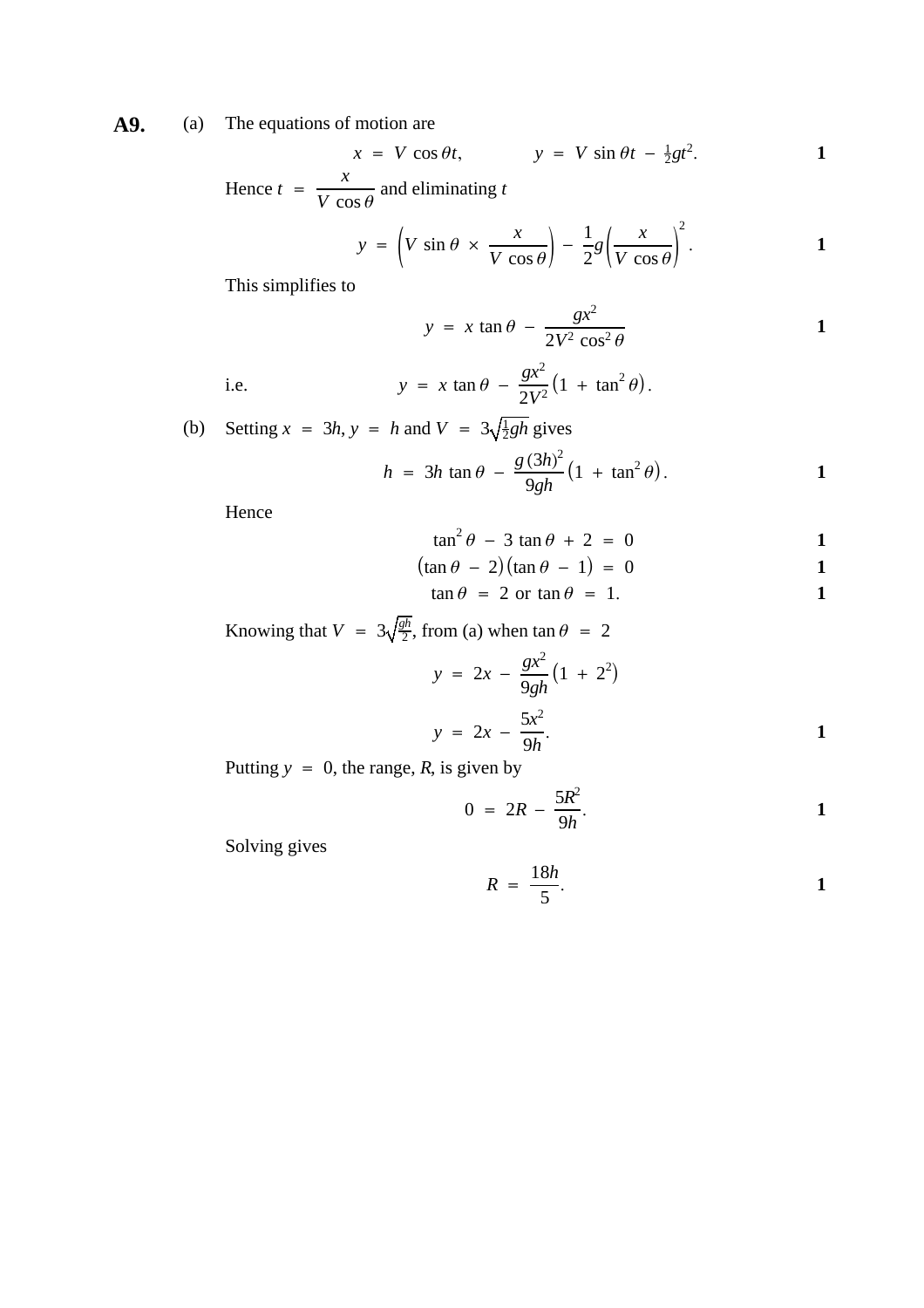**A9.** (a) The equations of motion are

$$
x = V \cos \theta t, \qquad y = V \sin \theta t - \frac{1}{2}gt^2.
$$

Hence  $t = \frac{x}{\sqrt{x^2 - x^2}}$  and eliminating *V* cos *θ t*

$$
y = \left(V \sin \theta \times \frac{x}{V \cos \theta}\right) - \frac{1}{2}g\left(\frac{x}{V \cos \theta}\right)^2.
$$

This simplifies to

$$
y = x \tan \theta - \frac{gx^2}{2V^2 \cos^2 \theta}
$$

i.e. 
$$
y = x \tan \theta - \frac{gx^2}{2V^2} (1 + \tan^2 \theta).
$$

(b) Setting 
$$
x = 3h
$$
,  $y = h$  and  $V = 3\sqrt{\frac{1}{2}gh}$  gives  
\n
$$
h = 3h \tan \theta - \frac{g(3h)^2}{9gh} \left(1 + \tan^2 \theta\right).
$$

Hence

$$
\tan^2 \theta - 3 \tan \theta + 2 = 0
$$

$$
(\tan \theta - 2)(\tan \theta - 1) = 0
$$

$$
\tan \theta = 2 \text{ or } \tan \theta = 1. \tag{1}
$$

Knowing that  $V = 3\sqrt{\frac{gh}{2}}$ , from (a) when  $\tan \theta = 2$ 

$$
y = 2x - \frac{gx^2}{9gh} (1 + 2^2)
$$
  

$$
y = 2x - \frac{5x^2}{9h}.
$$

Putting  $y = 0$ , the range, *R*, is given by

$$
0 = 2R - \frac{5R^2}{9h}.
$$

Solving gives

$$
R = \frac{18h}{5}.
$$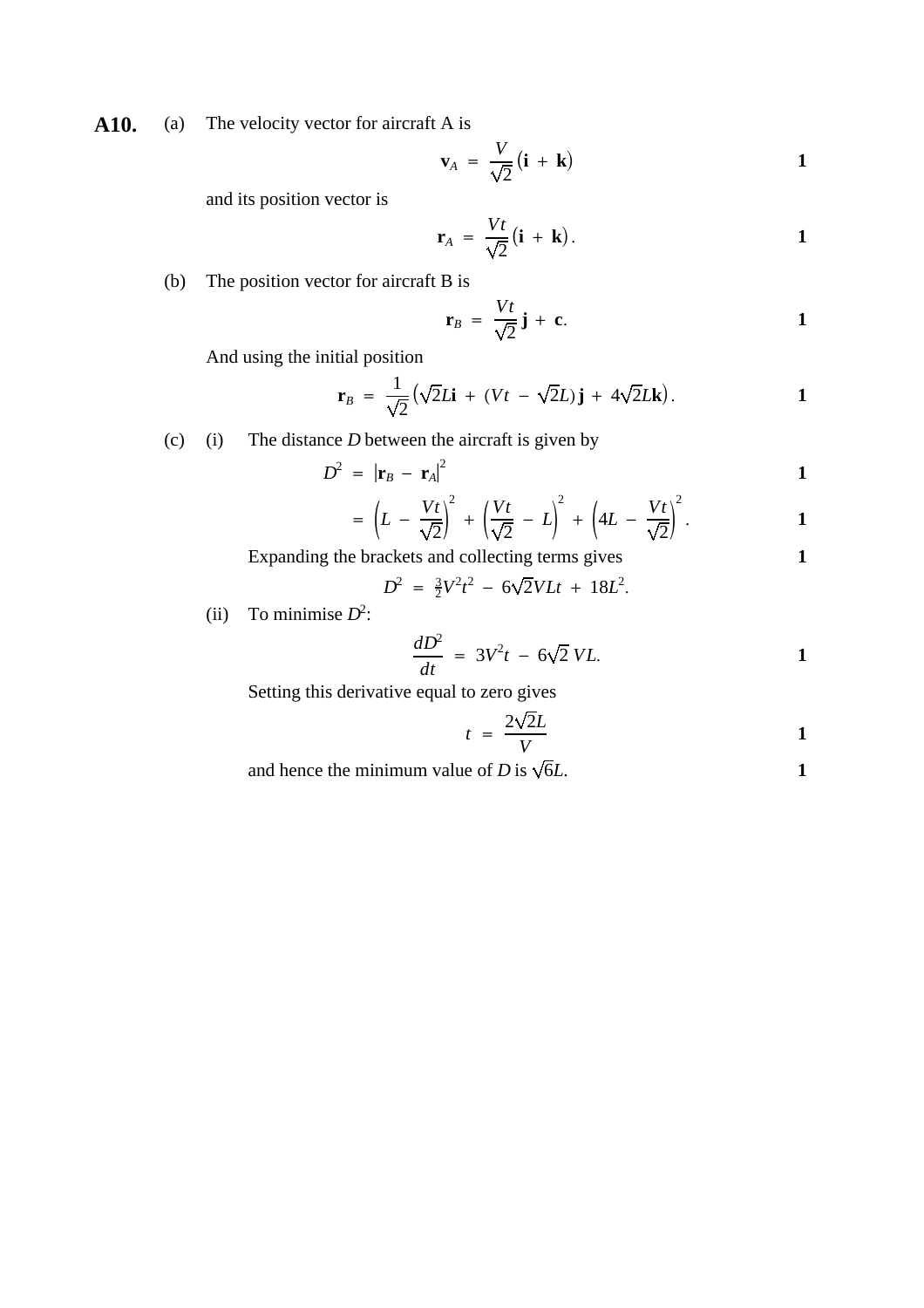A10. (a) The velocity vector for aircraft A is

$$
\mathbf{v}_A = \frac{V}{\sqrt{2}} (\mathbf{i} + \mathbf{k})
$$

and its position vector is

$$
\mathbf{r}_A = \frac{Vt}{\sqrt{2}}(\mathbf{i} + \mathbf{k}).
$$

(b) The position vector for aircraft B is

$$
\mathbf{r}_B = \frac{Vt}{\sqrt{2}}\,\mathbf{j} + \mathbf{c}.\tag{1}
$$

And using the initial position

$$
\mathbf{r}_B = \frac{1}{\sqrt{2}} \big( \sqrt{2} L \mathbf{i} + (Vt - \sqrt{2} L) \mathbf{j} + 4 \sqrt{2} L \mathbf{k} \big).
$$

(c) (i) The distance *D* between the aircraft is given by

$$
D^2 = |\mathbf{r}_B - \mathbf{r}_A|^2
$$

$$
= \left(L - \frac{Vt}{\sqrt{2}}\right)^2 + \left(\frac{Vt}{\sqrt{2}} - L\right)^2 + \left(4L - \frac{Vt}{\sqrt{2}}\right)^2.
$$

Expanding the brackets and collecting terms gives **1**

$$
D^2 = \frac{3}{2}V^2t^2 - 6\sqrt{2}VLt + 18L^2.
$$

(ii) To minimise  $D^2$ :

$$
\frac{dD^2}{dt} = 3V^2t - 6\sqrt{2} VL.
$$

Setting this derivative equal to zero gives

$$
t = \frac{2\sqrt{2}L}{V}
$$

and hence the minimum value of *D* is  $\sqrt{6}L$ . **1**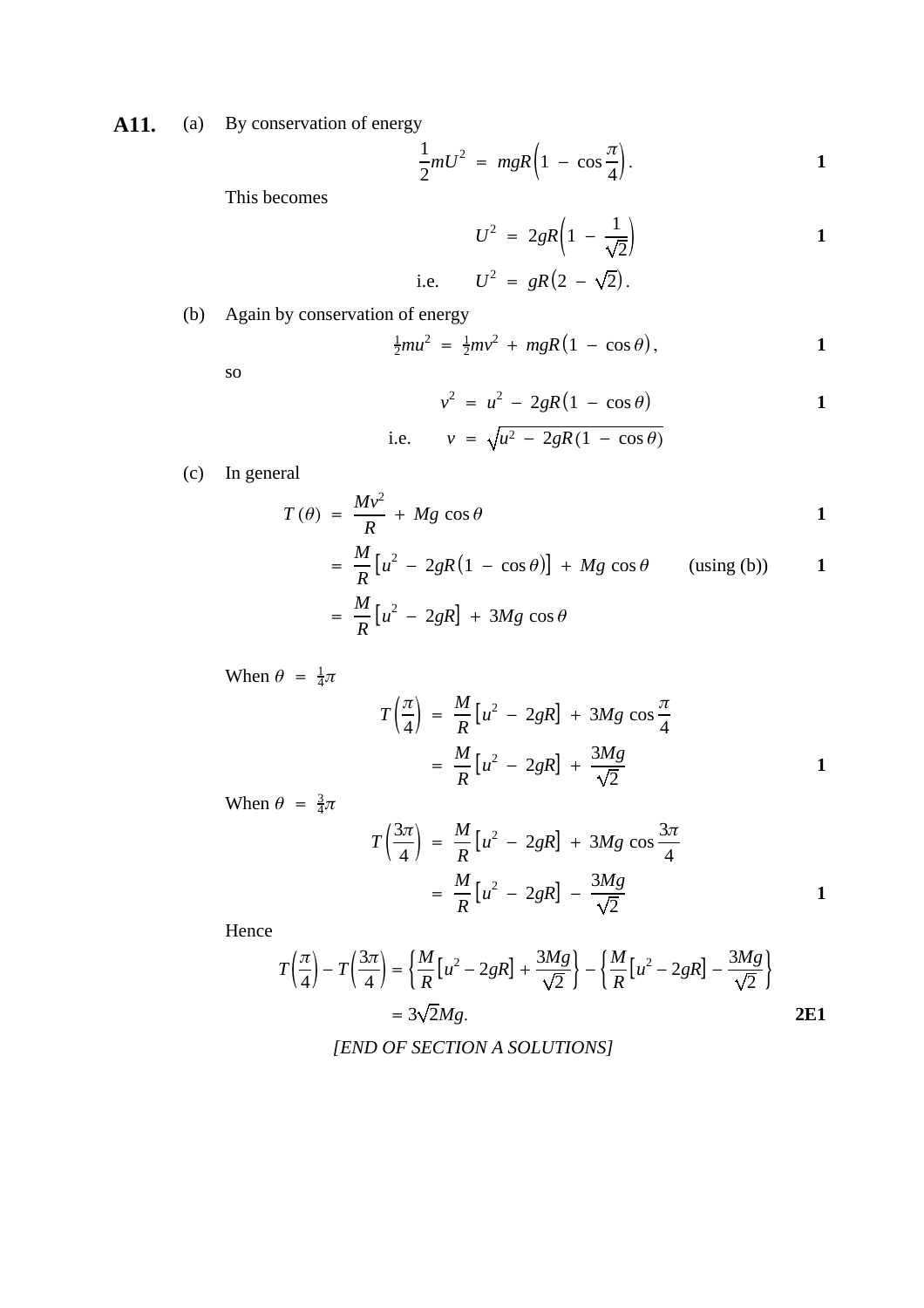A11. (a) By conservation of energy

$$
\frac{1}{2}mU^2 = mgR\left(1 - \cos\frac{\pi}{4}\right).
$$

This becomes

$$
U^{2} = 2gR\left(1 - \frac{1}{\sqrt{2}}\right)
$$
  
i.e. 
$$
U^{2} = gR\left(2 - \sqrt{2}\right).
$$

$$
\cdots \qquad \circ \qquad \circ
$$

(b) Again by conservation of energy

$$
\frac{1}{2}mu^2 = \frac{1}{2}mv^2 + mgR(1 - \cos\theta),
$$
 1

so

$$
v^2 = u^2 - 2gR(1 - \cos \theta)
$$

i.e. 
$$
v = \sqrt{u^2 - 2gR(1 - \cos \theta)}
$$

(c) In general

$$
T(\theta) = \frac{Mv^2}{R} + Mg \cos \theta
$$

$$
= \frac{M}{R} [u^2 - 2gR(1 - \cos \theta)] + Mg \cos \theta
$$
 (using (b)) 1  
= 
$$
\frac{M}{R} [u^2 - 2gR] + 3Mg \cos \theta
$$

When 
$$
\theta = \frac{1}{4}\pi
$$

$$
T\left(\frac{\pi}{4}\right) = \frac{M}{R}\left[u^2 - 2gR\right] + 3Mg\cos\frac{\pi}{4}
$$

$$
= \frac{M}{R}\left[u^2 - 2gR\right] + \frac{3Mg}{\sqrt{2}}
$$
1

When  $\theta = \frac{3}{4}\pi$ 

$$
T\left(\frac{3\pi}{4}\right) = \frac{M}{R}\left[u^2 - 2gR\right] + 3Mg\cos\frac{3\pi}{4}
$$

$$
= \frac{M}{R}\left[u^2 - 2gR\right] - \frac{3Mg}{\sqrt{2}}
$$
1

Hence

$$
T\left(\frac{\pi}{4}\right) - T\left(\frac{3\pi}{4}\right) = \left\{\frac{M}{R}\left[u^2 - 2gR\right] + \frac{3Mg}{\sqrt{2}}\right\} - \left\{\frac{M}{R}\left[u^2 - 2gR\right] - \frac{3Mg}{\sqrt{2}}\right\}
$$

$$
= 3\sqrt{2}Mg.
$$
2E1

*[END OF SECTION A SOLUTIONS]*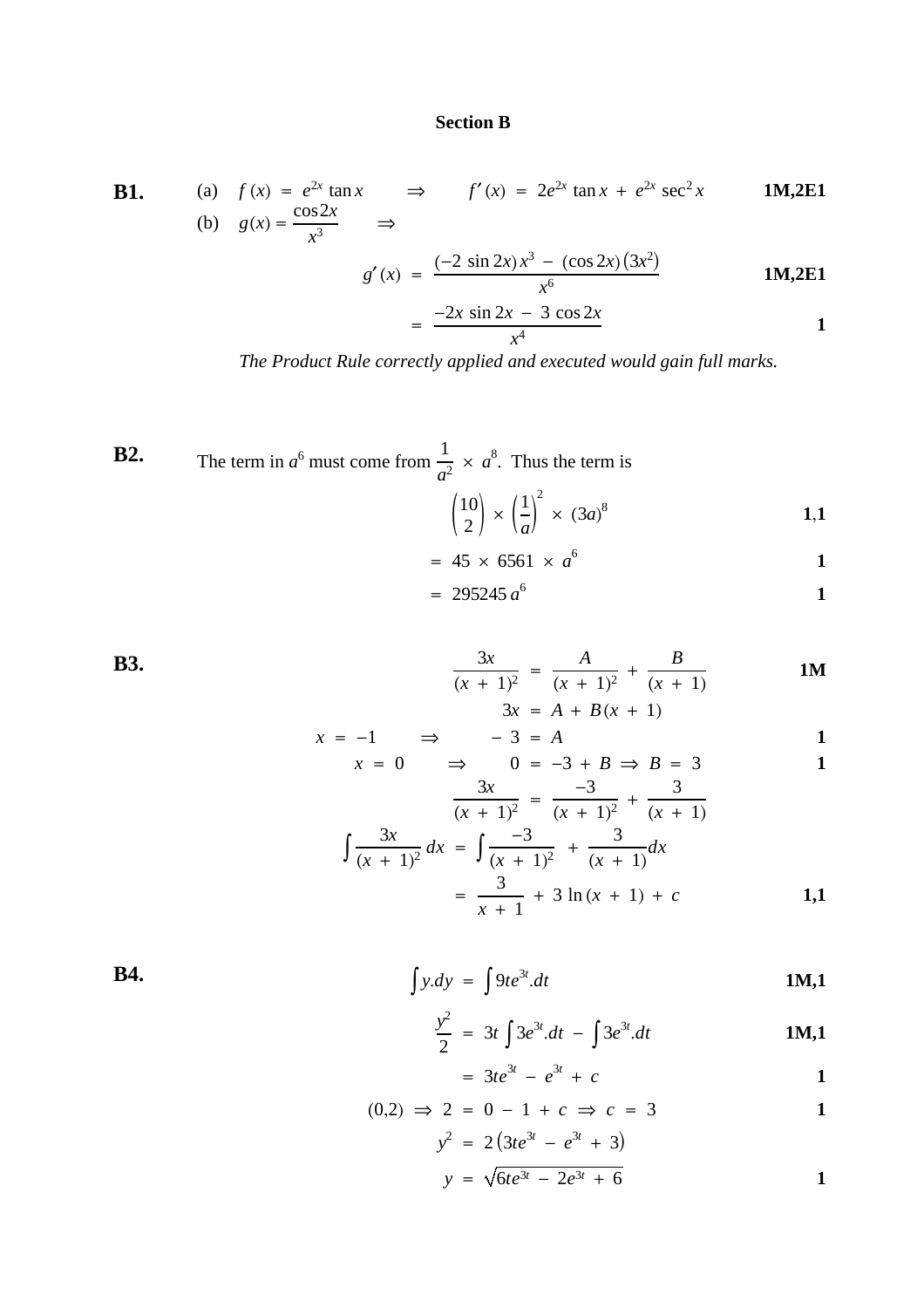#### **Section B**

**B1.** (a) 
$$
f(x) = e^{2x} \tan x \implies f'(x) = 2e^{2x} \tan x + e^{2x} \sec^2 x
$$
 **1M,2E1**  
(b)  $g(x) = \frac{\cos 2x}{x^3} \implies$ 

$$
g'(x) = \frac{(-2 \sin 2x)x^3 - (\cos 2x)(3x^2)}{x^6}
$$
 1M,2E1

$$
= \frac{-2x \sin 2x - 3 \cos 2x}{x^4}
$$

*The Product Rule correctly applied and executed would gain full marks.*

**B2.** The term in  $a^6$  must come from  $\frac{1}{2} \times a^8$ . Thus the term is  $rac{1}{a^2} \times a^8$  $\binom{10}{2} \times \binom{1}{a}$ 2  $\binom{10}{2} \times \binom{1}{a}^2 \times (3a)^8$  1,1  $= 45 \times 6561 \times a^{6}$ <sup>6</sup> **1**

$$
= 295245 a^6
$$
 1

**B3.**  $\frac{3x}{2}$  $\frac{3x}{(x+1)^2} = \frac{A}{(x+1)^2} +$ *B*  $(x + 1)$ **1M**  $3x = A + B(x + 1)$ 

$$
x = -1 \qquad \Rightarrow \qquad -3 = A
$$
  

$$
x = 0 \qquad \Rightarrow \qquad 0 = -3 + B \Rightarrow B = 3
$$

$$
\frac{3x}{(x + 1)^2} = \frac{-3}{(x + 1)^2} + \frac{3}{(x + 1)}
$$

$$
\int \frac{3x}{(x + 1)^2} dx = \int \frac{-3}{(x + 1)^2} + \frac{3}{(x + 1)} dx
$$

$$
= \frac{3}{x + 1} + 3 \ln(x + 1) + c
$$
1,1

**B4.**  $\int y \, dy = \int 9t e^{3t}$ .*dt* **1M,1**

$$
\frac{y^2}{2} = 3t \int 3e^{3t} dt - \int 3e^{3t} dt
$$
 1M,1

$$
= 3te^{3t} - e^{3t} + c
$$
 1

$$
(0,2) \Rightarrow 2 = 0 - 1 + c \Rightarrow c = 3
$$
  

$$
y^2 = 2(3te^{3t} - e^{3t} + 3)
$$

$$
y = \sqrt{6te^{3t} - 2e^{3t} + 6}
$$